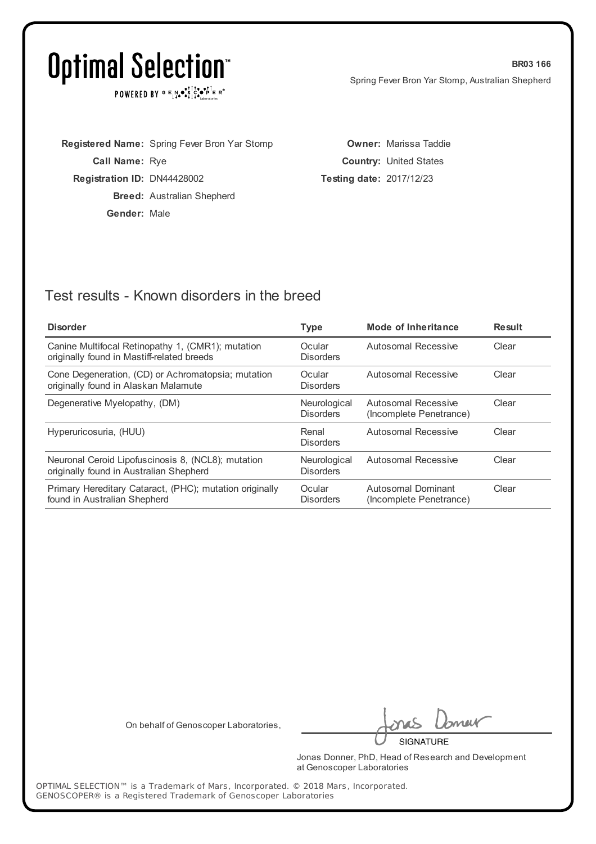POWERED BY  $G \in N \cdot S$ ,  $G \cdot S \cdot P \in R$ <sup>o</sup>

|                                    | <b>Registered Name:</b> Spring Fever Bron Yar Stomp |
|------------------------------------|-----------------------------------------------------|
| <b>Call Name: Rye</b>              |                                                     |
| <b>Registration ID: DN44428002</b> |                                                     |
|                                    | <b>Breed:</b> Australian Shepherd                   |
| Gender: Male                       |                                                     |
|                                    |                                                     |

**Owner:** Marissa Taddie **Country:** United States **Testing date:** 2017/12/23

### Test results - Known disorders in the breed

| <b>Disorder</b>                                                                                 | <b>Type</b>                      | Mode of Inheritance                            | <b>Result</b> |
|-------------------------------------------------------------------------------------------------|----------------------------------|------------------------------------------------|---------------|
| Canine Multifocal Retinopathy 1, (CMR1); mutation<br>originally found in Mastiff-related breeds | Ocular<br><b>Disorders</b>       | Autosomal Recessive                            | Clear         |
| Cone Degeneration, (CD) or Achromatopsia; mutation<br>originally found in Alaskan Malamute      | Ocular<br><b>Disorders</b>       | Autosomal Recessive                            | Clear         |
| Degenerative Myelopathy, (DM)                                                                   | Neurological<br><b>Disorders</b> | Autosomal Recessive<br>(Incomplete Penetrance) | Clear         |
| Hyperuricosuria, (HUU)                                                                          | Renal<br><b>Disorders</b>        | Autosomal Recessive                            | Clear         |
| Neuronal Ceroid Lipofuscinosis 8, (NCL8); mutation<br>originally found in Australian Shepherd   | Neurological<br><b>Disorders</b> | Autosomal Recessive                            | Clear         |
| Primary Hereditary Cataract, (PHC); mutation originally<br>found in Australian Shepherd         | Ocular<br><b>Disorders</b>       | Autosomal Dominant<br>(Incomplete Penetrance)  | Clear         |

On behalf of Genoscoper Laboratories,

meik

**SIGNATURE** 

Jonas Donner, PhD, Head of Research and Development at Genoscoper Laboratories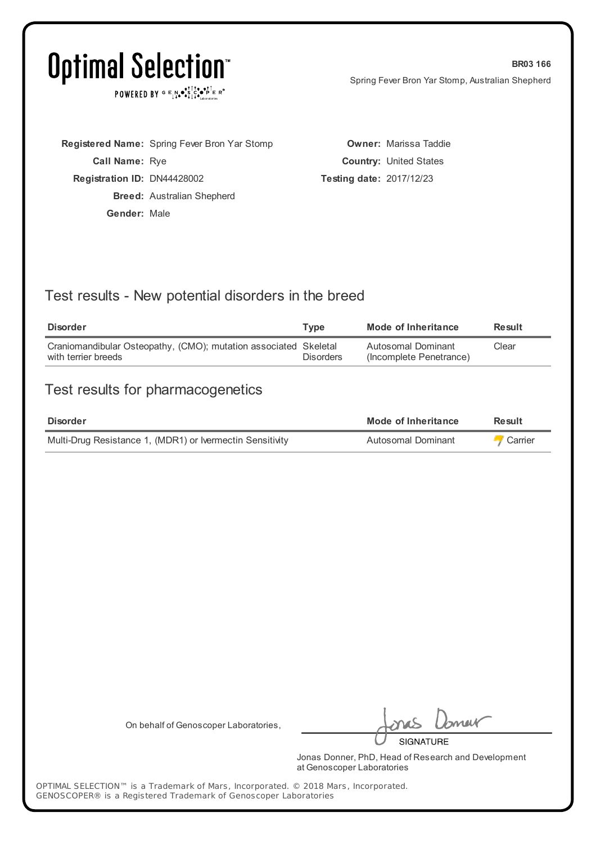POWERED BY  $G \in N_{\bullet} \bullet_{\bullet}^{\dagger} \mathbb{I}_{\bullet}^{\dagger} \bullet_{\mathbf{P}}^{\dagger} \mathbb{E} \mathbb{R}^{\circ}$ 

|                             | Registered Name: Spring Fever Bron Yar Stomp |
|-----------------------------|----------------------------------------------|
| <b>Call Name: Rye</b>       |                                              |
| Registration ID: DN44428002 |                                              |
|                             | <b>Breed:</b> Australian Shepherd            |
| Gender: Male                |                                              |
|                             |                                              |

**Owner:** Marissa Taddie **Country:** United States **Testing date:** 2017/12/23

### Test results - New potential disorders in the breed

| Disorder                                                                                | Tvpe             | Mode of Inheritance                           | <b>Result</b> |
|-----------------------------------------------------------------------------------------|------------------|-----------------------------------------------|---------------|
| Craniomandibular Osteopathy, (CMO); mutation associated Skeletal<br>with terrier breeds | <b>Disorders</b> | Autosomal Dominant<br>(Incomplete Penetrance) | Clear         |

### Test results for pharmacogenetics

| Disorder                                                  | Mode of Inheritance | <b>Result</b>  |
|-----------------------------------------------------------|---------------------|----------------|
| Multi-Drug Resistance 1, (MDR1) or Ivermectin Sensitivity | Autosomal Dominant  | <b>Carrier</b> |

On behalf of Genoscoper Laboratories,

neit **SIGNATURE** 

Jonas Donner, PhD, Head of Research and Development at Genoscoper Laboratories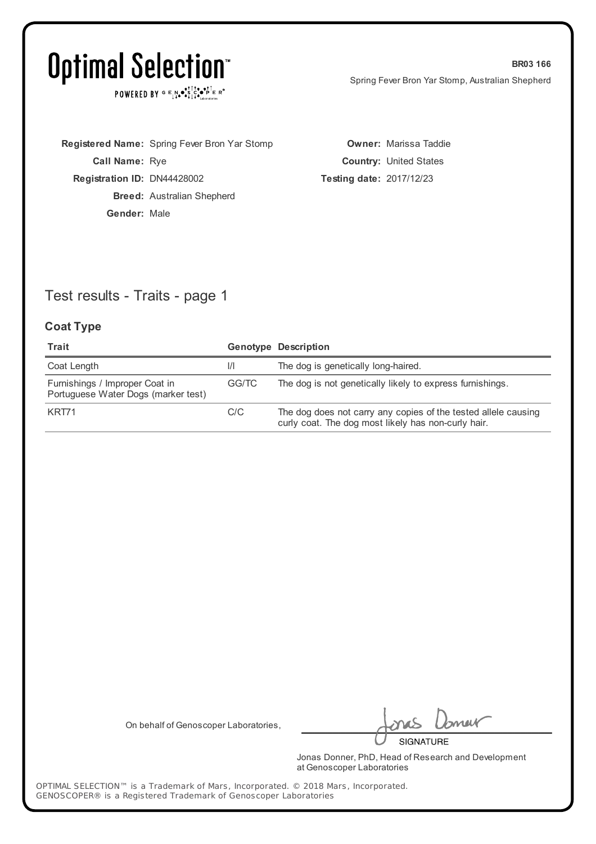POWERED BY  $G \in N_{\bullet} \bullet_{\bullet}^{\dagger} \mathbb{I}_{\bullet}^{\dagger} \bullet_{\mathbf{P}}^{\dagger} \mathbb{E} \mathbb{R}^{\circ}$ 

**Registered Name:** Spring Fever Bron Yar Stomp **Call Name:** Rye **Registration ID:** DN44428002 **Breed:** Australian Shepherd **Gender:** Male

**Owner:** Marissa Taddie **Country:** United States **Testing date:** 2017/12/23

### Test results - Traits - page 1

#### **Coat Type**

| Trait                                                                 |               | <b>Genotype Description</b>                                                                                           |
|-----------------------------------------------------------------------|---------------|-----------------------------------------------------------------------------------------------------------------------|
| Coat Length                                                           | $\frac{1}{1}$ | The dog is genetically long-haired.                                                                                   |
| Furnishings / Improper Coat in<br>Portuguese Water Dogs (marker test) | GG/TC         | The dog is not genetically likely to express furnishings.                                                             |
| KRT71                                                                 | C/C           | The dog does not carry any copies of the tested allele causing<br>curly coat. The dog most likely has non-curly hair. |

On behalf of Genoscoper Laboratories,

neif **SIGNATURE** 

Jonas Donner, PhD, Head of Research and Development at Genoscoper Laboratories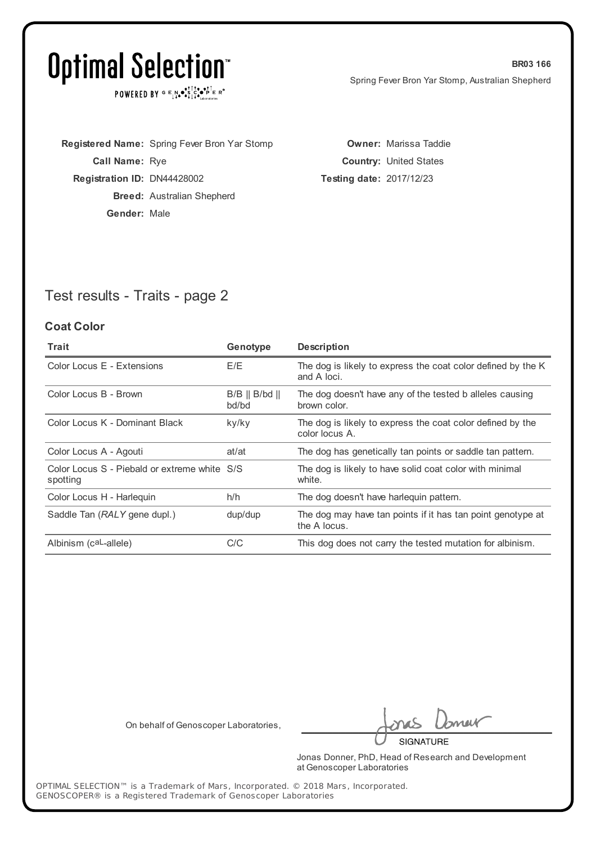POWERED BY  $G \in N \cdot S$ ,  $G \cdot S \cdot P \in R$ <sup>o</sup>

| <b>Call Name: Rye</b>              |
|------------------------------------|
|                                    |
| <b>Registration ID: DN44428002</b> |
| <b>Breed:</b> Australian Shepherd  |
| Gender: Male                       |

**Owner:** Marissa Taddie **Country:** United States **Testing date:** 2017/12/23

### Test results - Traits - page 2

#### **Coat Color**

| Trait                                                    | Genotype                                | <b>Description</b>                                                           |
|----------------------------------------------------------|-----------------------------------------|------------------------------------------------------------------------------|
| Color Locus E - Extensions                               | E/E                                     | The dog is likely to express the coat color defined by the K<br>and A loci.  |
| Color Locus B - Brown                                    | $B/B \parallel B/bd \parallel$<br>bd/bd | The dog doesn't have any of the tested b alleles causing<br>brown color.     |
| Color Locus K - Dominant Black                           | ky/ky                                   | The dog is likely to express the coat color defined by the<br>color locus A. |
| Color Locus A - Agouti                                   | at/at                                   | The dog has genetically tan points or saddle tan pattern.                    |
| Color Locus S - Piebald or extreme white S/S<br>spotting |                                         | The dog is likely to have solid coat color with minimal<br>white.            |
| Color Locus H - Harlequin                                | h/h                                     | The dog doesn't have harleguin pattern.                                      |
| Saddle Tan (RALY gene dupl.)                             | dup/dup                                 | The dog may have tan points if it has tan point genotype at<br>the A locus.  |
| Albinism (caL-allele)                                    | C/C                                     | This dog does not carry the tested mutation for albinism.                    |

On behalf of Genoscoper Laboratories,

meik

**SIGNATURE** 

Jonas Donner, PhD, Head of Research and Development at Genoscoper Laboratories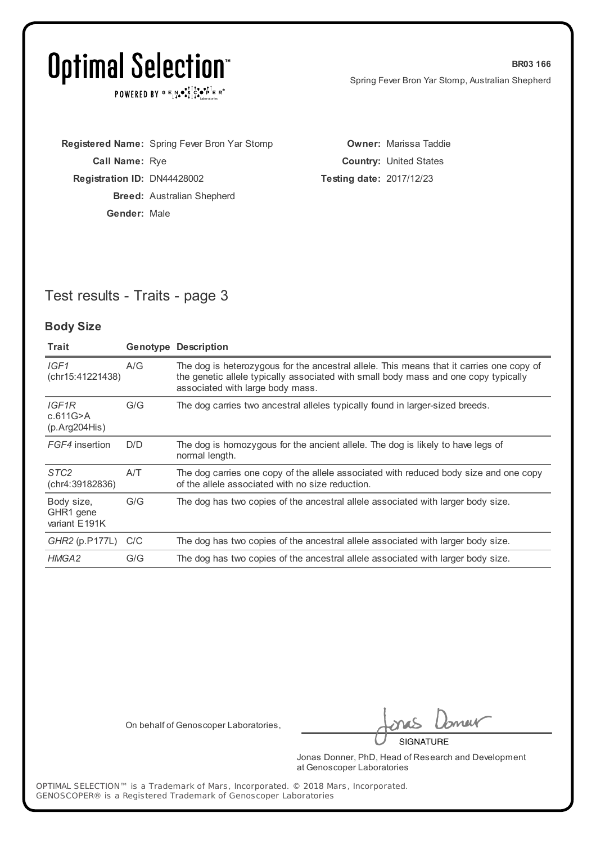$\texttt{POWERED BY} \texttt{G} \mathsf{E} \texttt{N} \bullet \texttt{S}^\texttt{T} \texttt{S}^\texttt{a} \bullet \texttt{P}^\texttt{T} \texttt{E} \texttt{R}^\texttt{B}$ 

|                                    | Registered Name: Spring Fever Bron Yar Stomp |                                 | <b>Owner: Marissa Taddie</b>  |
|------------------------------------|----------------------------------------------|---------------------------------|-------------------------------|
| <b>Call Name: Rye</b>              |                                              |                                 | <b>Country: United States</b> |
| <b>Registration ID: DN44428002</b> |                                              | <b>Testing date: 2017/12/23</b> |                               |
|                                    | <b>Breed:</b> Australian Shepherd            |                                 |                               |
| Gender: Male                       |                                              |                                 |                               |

### Test results - Traits - page 3

#### **Body Size**

| Trait                                    |     | <b>Genotype Description</b>                                                                                                                                                                                         |
|------------------------------------------|-----|---------------------------------------------------------------------------------------------------------------------------------------------------------------------------------------------------------------------|
| IGF1<br>(chr15:41221438)                 | A/G | The dog is heterozygous for the ancestral allele. This means that it carries one copy of<br>the genetic allele typically associated with small body mass and one copy typically<br>associated with large body mass. |
| IGF1R<br>c.611G>A<br>(p. Arg204His)      | G/G | The dog carries two ancestral alleles typically found in larger-sized breeds.                                                                                                                                       |
| FGF4 insertion                           | D/D | The dog is homozygous for the ancient allele. The dog is likely to have legs of<br>normal length.                                                                                                                   |
| STC <sub>2</sub><br>(chr4:39182836)      | A/T | The dog carries one copy of the allele associated with reduced body size and one copy<br>of the allele associated with no size reduction.                                                                           |
| Body size,<br>GHR1 gene<br>variant E191K | G/G | The dog has two copies of the ancestral allele associated with larger body size.                                                                                                                                    |
| GHR2 (p.P177L) C/C                       |     | The dog has two copies of the ancestral allele associated with larger body size.                                                                                                                                    |
| HMGA2                                    | G/G | The dog has two copies of the ancestral allele associated with larger body size.                                                                                                                                    |

On behalf of Genoscoper Laboratories,

neit **SIGNATURE** 

Jonas Donner, PhD, Head of Research and Development at Genoscoper Laboratories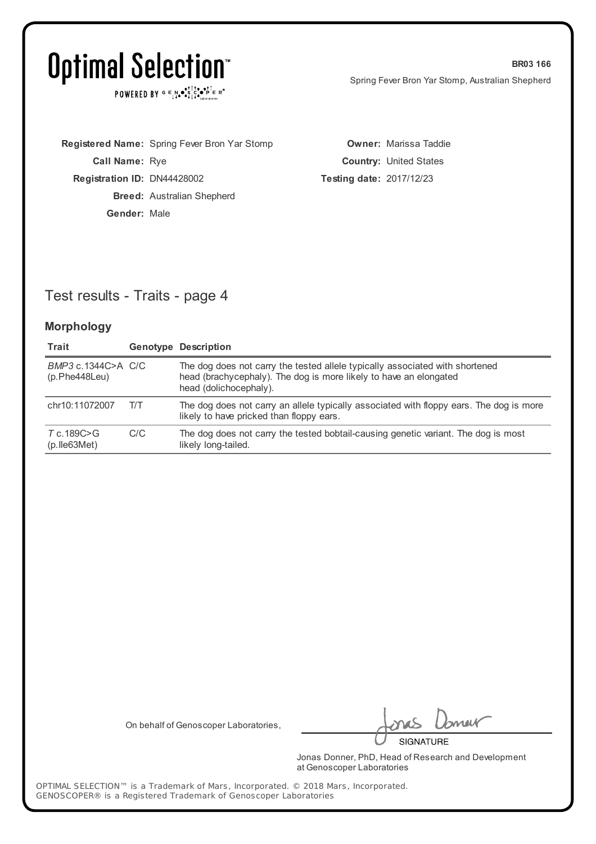$\texttt{POWERED BY} \texttt{G} \mathsf{E} \texttt{N} \bullet \texttt{S}^\texttt{T} \texttt{S}^\texttt{a} \bullet \texttt{P}^\texttt{T} \texttt{E} \texttt{R}^\texttt{B}$ 

|                                    | Registered Name: Spring Fever Bron Yar Stomp |                                 | <b>Owner: Marissa Taddie</b>  |
|------------------------------------|----------------------------------------------|---------------------------------|-------------------------------|
| <b>Call Name: Rye</b>              |                                              |                                 | <b>Country: United States</b> |
| <b>Registration ID: DN44428002</b> |                                              | <b>Testing date: 2017/12/23</b> |                               |
|                                    | <b>Breed:</b> Australian Shepherd            |                                 |                               |
| Gender: Male                       |                                              |                                 |                               |

### Test results - Traits - page 4

#### **Morphology**

| Trait                                |     | <b>Genotype Description</b>                                                                                                                                                 |
|--------------------------------------|-----|-----------------------------------------------------------------------------------------------------------------------------------------------------------------------------|
| BMP3 c.1344C>A C/C<br>(p.Phe448Leu)  |     | The dog does not carry the tested allele typically associated with shortened<br>head (brachycephaly). The dog is more likely to have an elongated<br>head (dolichocephaly). |
| chr10:11072007                       | T/T | The dog does not carry an allele typically associated with floppy ears. The dog is more<br>likely to have pricked than floppy ears.                                         |
| T c.189C>G<br>$(p.$ lle $63$ Met $)$ | C/C | The dog does not carry the tested bobtail-causing genetic variant. The dog is most<br>likely long-tailed.                                                                   |

On behalf of Genoscoper Laboratories,

neit

**SIGNATURE** 

Jonas Donner, PhD, Head of Research and Development at Genoscoper Laboratories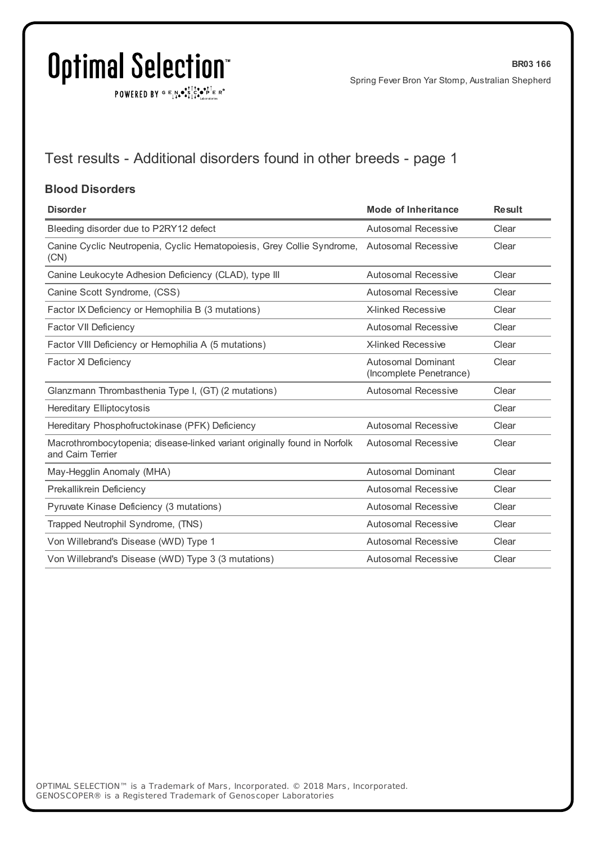$\texttt{POWERED BY} \xrightarrow{\mathbf{c}} \mathbb{I} \underset{\mathbf{a}}{\overset{\mathbf{r}}{\mathbf{a}}} \overset{\mathbf{r}}{\overset{\mathbf{r}}{\mathbf{s}}} \underset{\mathbf{a}}{\overset{\mathbf{r}}{\mathbf{a}}} \overset{\mathbf{r}}{\overset{\mathbf{r}}{\mathbf{s}}} \overset{\mathbf{r}}{\overset{\mathbf{r}}{\mathbf{s}}} \overset{\mathbf{r}}{\overset{\mathbf{r}}{\mathbf{s}}} \overset{\mathbf{r}}{\overset{\mathbf{r}}{\mathbf{s}}} \overset{\mathbf{r}}{\overset{\mathbf{r}}{\mathbf{s}}} \overset{\mathbf{r}}$ 

## Test results - Additional disorders found in other breeds - page 1

#### **Blood Disorders**

| <b>Disorder</b>                                                                                    | Mode of Inheritance                                  | <b>Result</b> |
|----------------------------------------------------------------------------------------------------|------------------------------------------------------|---------------|
| Bleeding disorder due to P2RY12 defect                                                             | <b>Autosomal Recessive</b>                           | Clear         |
| Canine Cyclic Neutropenia, Cyclic Hematopoiesis, Grey Collie Syndrome, Autosomal Recessive<br>(CN) |                                                      | Clear         |
| Canine Leukocyte Adhesion Deficiency (CLAD), type III                                              | Autosomal Recessive                                  | Clear         |
| Canine Scott Syndrome, (CSS)                                                                       | Autosomal Recessive                                  | Clear         |
| Factor IX Deficiency or Hemophilia B (3 mutations)                                                 | <b>X-linked Recessive</b>                            | Clear         |
| Factor VII Deficiency                                                                              | <b>Autosomal Recessive</b>                           | Clear         |
| Factor VIII Deficiency or Hemophilia A (5 mutations)                                               | <b>X-linked Recessive</b>                            | Clear         |
| Factor XI Deficiency                                                                               | <b>Autosomal Dominant</b><br>(Incomplete Penetrance) | Clear         |
| Glanzmann Thrombasthenia Type I, (GT) (2 mutations)                                                | Autosomal Recessive                                  | Clear         |
| <b>Hereditary Elliptocytosis</b>                                                                   |                                                      | Clear         |
| Hereditary Phosphofructokinase (PFK) Deficiency                                                    | Autosomal Recessive                                  | Clear         |
| Macrothrombocytopenia; disease-linked variant originally found in Norfolk<br>and Cairn Terrier     | <b>Autosomal Recessive</b>                           | Clear         |
| May-Hegglin Anomaly (MHA)                                                                          | Autosomal Dominant                                   | Clear         |
| Prekallikrein Deficiency                                                                           | <b>Autosomal Recessive</b>                           | Clear         |
| Pyruvate Kinase Deficiency (3 mutations)                                                           | Autosomal Recessive                                  | Clear         |
| Trapped Neutrophil Syndrome, (TNS)                                                                 | <b>Autosomal Recessive</b>                           | Clear         |
| Von Willebrand's Disease (WVD) Type 1                                                              | <b>Autosomal Recessive</b>                           | Clear         |
| Von Willebrand's Disease (WVD) Type 3 (3 mutations)                                                | Autosomal Recessive                                  | Clear         |
|                                                                                                    |                                                      |               |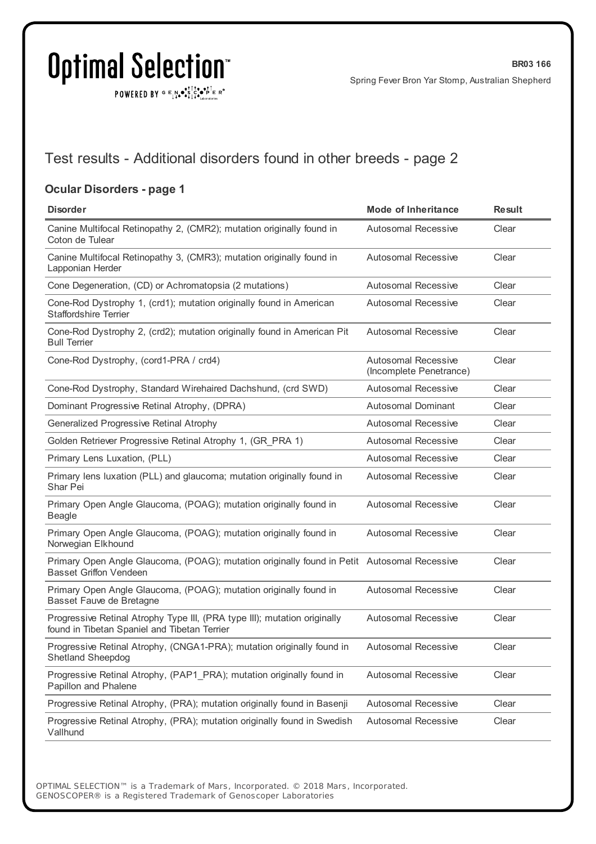$\texttt{POWERED BY} \texttt{G} \mathsf{E} \texttt{N} \bullet \texttt{S}^\texttt{T} \texttt{S}^\texttt{a} \bullet \texttt{P}^\texttt{T} \texttt{E} \texttt{R}^\texttt{B}$ 

### Test results - Additional disorders found in other breeds - page 2

#### **Ocular Disorders - page 1**

| <b>Disorder</b>                                                                                                              | <b>Mode of Inheritance</b>                            | <b>Result</b> |
|------------------------------------------------------------------------------------------------------------------------------|-------------------------------------------------------|---------------|
| Canine Multifocal Retinopathy 2, (CMR2); mutation originally found in<br>Coton de Tulear                                     | <b>Autosomal Recessive</b>                            | Clear         |
| Canine Multifocal Retinopathy 3, (CMR3); mutation originally found in<br>Lapponian Herder                                    | <b>Autosomal Recessive</b>                            | Clear         |
| Cone Degeneration, (CD) or Achromatopsia (2 mutations)                                                                       | <b>Autosomal Recessive</b>                            | Clear         |
| Cone-Rod Dystrophy 1, (crd1); mutation originally found in American<br><b>Staffordshire Terrier</b>                          | <b>Autosomal Recessive</b>                            | Clear         |
| Cone-Rod Dystrophy 2, (crd2); mutation originally found in American Pit<br><b>Bull Terrier</b>                               | <b>Autosomal Recessive</b>                            | Clear         |
| Cone-Rod Dystrophy, (cord1-PRA / crd4)                                                                                       | <b>Autosomal Recessive</b><br>(Incomplete Penetrance) | Clear         |
| Cone-Rod Dystrophy, Standard Wirehaired Dachshund, (crd SWD)                                                                 | <b>Autosomal Recessive</b>                            | Clear         |
| Dominant Progressive Retinal Atrophy, (DPRA)                                                                                 | <b>Autosomal Dominant</b>                             | Clear         |
| Generalized Progressive Retinal Atrophy                                                                                      | <b>Autosomal Recessive</b>                            | Clear         |
| Golden Retriever Progressive Retinal Atrophy 1, (GR PRA 1)                                                                   | <b>Autosomal Recessive</b>                            | Clear         |
| Primary Lens Luxation, (PLL)                                                                                                 | <b>Autosomal Recessive</b>                            | Clear         |
| Primary lens luxation (PLL) and glaucoma; mutation originally found in<br>Shar Pei                                           | <b>Autosomal Recessive</b>                            | Clear         |
| Primary Open Angle Glaucoma, (POAG); mutation originally found in<br><b>Beagle</b>                                           | <b>Autosomal Recessive</b>                            | Clear         |
| Primary Open Angle Glaucoma, (POAG); mutation originally found in<br>Norwegian Elkhound                                      | <b>Autosomal Recessive</b>                            | Clear         |
| Primary Open Angle Glaucoma, (POAG); mutation originally found in Petit Autosomal Recessive<br><b>Basset Griffon Vendeen</b> |                                                       | Clear         |
| Primary Open Angle Glaucoma, (POAG); mutation originally found in<br>Basset Fauve de Bretagne                                | <b>Autosomal Recessive</b>                            | Clear         |
| Progressive Retinal Atrophy Type III, (PRA type III); mutation originally<br>found in Tibetan Spaniel and Tibetan Terrier    | <b>Autosomal Recessive</b>                            | Clear         |
| Progressive Retinal Atrophy, (CNGA1-PRA); mutation originally found in<br><b>Shetland Sheepdog</b>                           | <b>Autosomal Recessive</b>                            | Clear         |
| Progressive Retinal Atrophy, (PAP1_PRA); mutation originally found in<br>Papillon and Phalene                                | <b>Autosomal Recessive</b>                            | Clear         |
| Progressive Retinal Atrophy, (PRA); mutation originally found in Basenji                                                     | <b>Autosomal Recessive</b>                            | Clear         |
| Progressive Retinal Atrophy, (PRA); mutation originally found in Swedish<br>Vallhund                                         | Autosomal Recessive                                   | Clear         |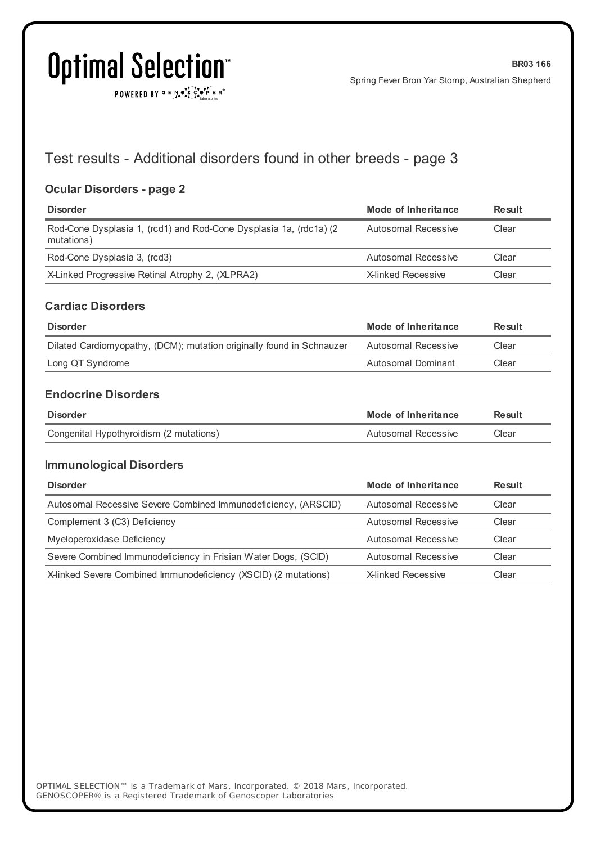POWERED BY  $G \in N$ .  $\bullet$ .  $\bullet$ .  $\bullet$ .  $\bullet$ .  $\bullet$ .  $\bullet$ .  $\bullet$ 

### Test results - Additional disorders found in other breeds - page 3

#### **Ocular Disorders - page 2**

| <b>Disorder</b>                                                                  | Mode of Inheritance | <b>Result</b> |
|----------------------------------------------------------------------------------|---------------------|---------------|
| Rod-Cone Dysplasia 1, (rcd1) and Rod-Cone Dysplasia 1a, (rdc1a) (2<br>mutations) | Autosomal Recessive | Clear         |
| Rod-Cone Dysplasia 3, (rcd3)                                                     | Autosomal Recessive | Clear         |
| X-Linked Progressive Retinal Atrophy 2, (XLPRA2)                                 | X-linked Recessive  | Clear         |

#### **Cardiac Disorders**

| <b>Disorder</b>                                                       | Mode of Inheritance | <b>Result</b> |
|-----------------------------------------------------------------------|---------------------|---------------|
| Dilated Cardiomyopathy, (DCM); mutation originally found in Schnauzer | Autosomal Recessive | Clear         |
| Long QT Syndrome                                                      | Autosomal Dominant  | Clear         |

### **Endocrine Disorders**

| <b>Disorder</b>                         | Mode of Inheritance | Result |
|-----------------------------------------|---------------------|--------|
| Congenital Hypothyroidism (2 mutations) | Autosomal Recessive | Clear  |

#### **Immunological Disorders**

| <b>Disorder</b>                                                 | Mode of Inheritance | Result |
|-----------------------------------------------------------------|---------------------|--------|
| Autosomal Recessive Severe Combined Immunodeficiency, (ARSCID)  | Autosomal Recessive | Clear  |
| Complement 3 (C3) Deficiency                                    | Autosomal Recessive | Clear  |
| Myeloperoxidase Deficiency                                      | Autosomal Recessive | Clear  |
| Severe Combined Immunodeficiency in Frisian Water Dogs, (SCID)  | Autosomal Recessive | Clear  |
| X-linked Severe Combined Immunodeficiency (XSCID) (2 mutations) | X-linked Recessive  | Clear  |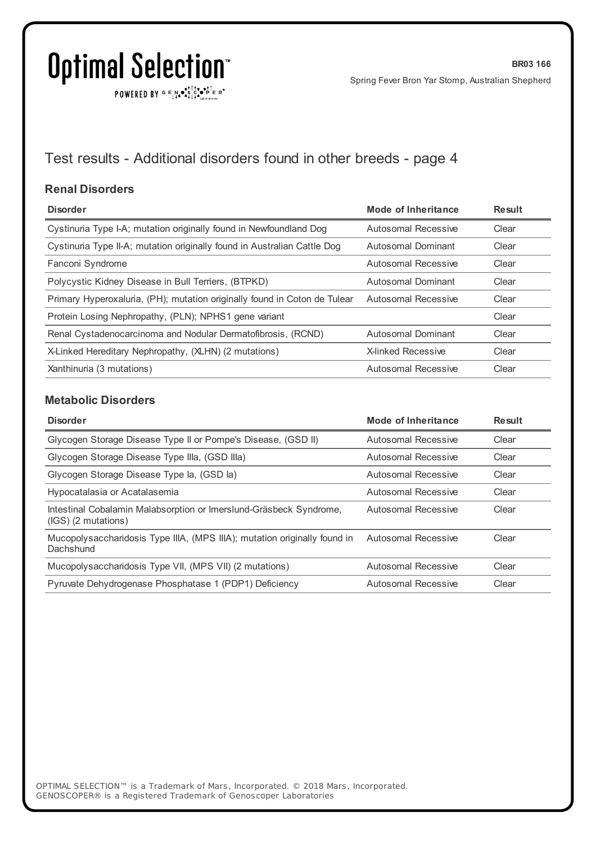$\texttt{POWERED BY} \xrightarrow{\mathbf{c}} \mathbb{I} \underset{\mathbf{a}}{\overset{\mathbf{r}}{\mathbf{a}}} \overset{\mathbf{r}}{\overset{\mathbf{r}}{\mathbf{s}}} \underset{\mathbf{a}}{\overset{\mathbf{r}}{\mathbf{a}}} \overset{\mathbf{r}}{\overset{\mathbf{r}}{\mathbf{s}}} \overset{\mathbf{r}}{\overset{\mathbf{r}}{\mathbf{s}}} \overset{\mathbf{r}}{\overset{\mathbf{r}}{\mathbf{s}}} \overset{\mathbf{r}}{\overset{\mathbf{r}}{\mathbf{s}}} \overset{\mathbf{r}}{\overset{\mathbf{r}}{\mathbf{s}}} \overset{\mathbf{r}}$ 

## Test results - Additional disorders found in other breeds - page 4

#### **Renal Disorders**

| <b>Disorder</b>                                                           | Mode of Inheritance       | <b>Result</b> |
|---------------------------------------------------------------------------|---------------------------|---------------|
| Cystinuria Type I-A; mutation originally found in Newfoundland Dog        | Autosomal Recessive       | Clear         |
| Cystinuria Type II-A; mutation originally found in Australian Cattle Dog  | Autosomal Dominant        | Clear         |
| Fanconi Syndrome                                                          | Autosomal Recessive       | Clear         |
| Polycystic Kidney Disease in Bull Terriers, (BTPKD)                       | Autosomal Dominant        | Clear         |
| Primary Hyperoxaluria, (PH); mutation originally found in Coton de Tulear | Autosomal Recessive       | Clear         |
| Protein Losing Nephropathy, (PLN); NPHS1 gene variant                     |                           | Clear         |
| Renal Cystadenocarcinoma and Nodular Dermatofibrosis, (RCND)              | Autosomal Dominant        | Clear         |
| X-Linked Hereditary Nephropathy, (XLHN) (2 mutations)                     | <b>X-linked Recessive</b> | Clear         |
| Xanthinuria (3 mutations)                                                 | Autosomal Recessive       | Clear         |

#### **Metabolic Disorders**

| <b>Disorder</b>                                                                           | <b>Mode of Inheritance</b> | <b>Result</b> |
|-------------------------------------------------------------------------------------------|----------------------------|---------------|
| Glycogen Storage Disease Type II or Pompe's Disease, (GSD II)                             | Autosomal Recessive        | Clear         |
| Glycogen Storage Disease Type IIIa, (GSD IIIa)                                            | Autosomal Recessive        | Clear         |
| Glycogen Storage Disease Type la, (GSD la)                                                | Autosomal Recessive        | Clear         |
| Hypocatalasia or Acatalasemia                                                             | Autosomal Recessive        | Clear         |
| Intestinal Cobalamin Malabsorption or Imerslund-Gräsbeck Syndrome,<br>(IGS) (2 mutations) | Autosomal Recessive        | Clear         |
| Mucopolysaccharidosis Type IIIA, (MPS IIIA); mutation originally found in<br>Dachshund    | Autosomal Recessive        | Clear         |
| Mucopolysaccharidosis Type VII, (MPS VII) (2 mutations)                                   | Autosomal Recessive        | Clear         |
| Pyruvate Dehydrogenase Phosphatase 1 (PDP1) Deficiency                                    | Autosomal Recessive        | Clear         |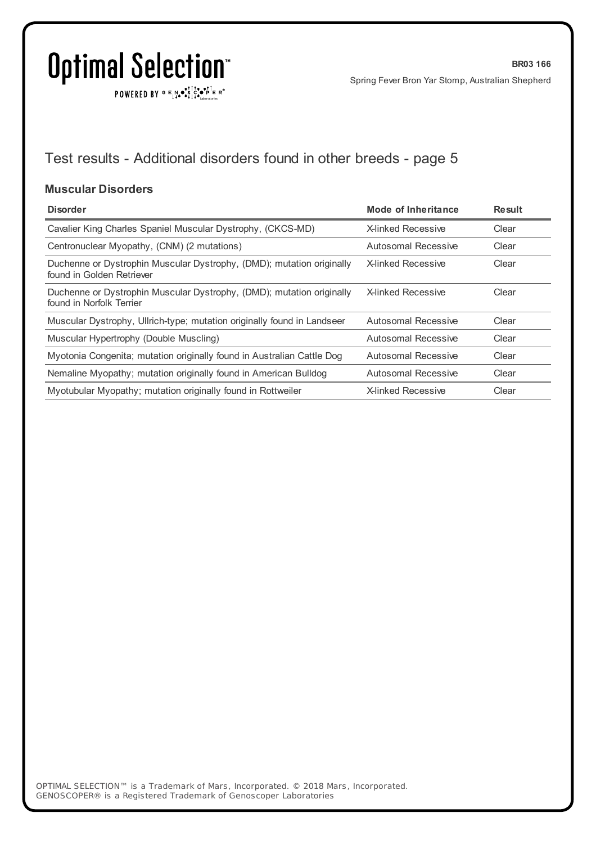$\texttt{POWERED BY} \xrightarrow{\mathbf{c}} \mathbb{I} \underset{\mathbf{a}}{\overset{\mathbf{r}}{\mathbf{a}}} \overset{\mathbf{r}}{\overset{\mathbf{r}}{\mathbf{s}}} \underset{\mathbf{a}}{\overset{\mathbf{r}}{\mathbf{a}}} \overset{\mathbf{r}}{\overset{\mathbf{r}}{\mathbf{s}}} \overset{\mathbf{r}}{\overset{\mathbf{r}}{\mathbf{s}}} \overset{\mathbf{r}}{\overset{\mathbf{r}}{\mathbf{s}}} \overset{\mathbf{r}}{\overset{\mathbf{r}}{\mathbf{s}}} \overset{\mathbf{r}}{\overset{\mathbf{r}}{\mathbf{s}}} \overset{\mathbf{r}}$ 

## Test results - Additional disorders found in other breeds - page 5

#### **Muscular Disorders**

| <b>Disorder</b>                                                                                    | Mode of Inheritance       | <b>Result</b> |
|----------------------------------------------------------------------------------------------------|---------------------------|---------------|
| Cavalier King Charles Spaniel Muscular Dystrophy, (CKCS-MD)                                        | X-linked Recessive        | Clear         |
| Centronuclear Myopathy, (CNM) (2 mutations)                                                        | Autosomal Recessive       | Clear         |
| Duchenne or Dystrophin Muscular Dystrophy, (DMD); mutation originally<br>found in Golden Retriever | <b>X-linked Recessive</b> | Clear         |
| Duchenne or Dystrophin Muscular Dystrophy, (DMD); mutation originally<br>found in Norfolk Terrier  | <b>X-linked Recessive</b> | Clear         |
| Muscular Dystrophy, Ullrich-type; mutation originally found in Landseer                            | Autosomal Recessive       | Clear         |
| Muscular Hypertrophy (Double Muscling)                                                             | Autosomal Recessive       | Clear         |
| Myotonia Congenita; mutation originally found in Australian Cattle Dog                             | Autosomal Recessive       | Clear         |
| Nemaline Myopathy; mutation originally found in American Bulldog                                   | Autosomal Recessive       | Clear         |
| Myotubular Myopathy; mutation originally found in Rottweiler                                       | X-linked Recessive        | Clear         |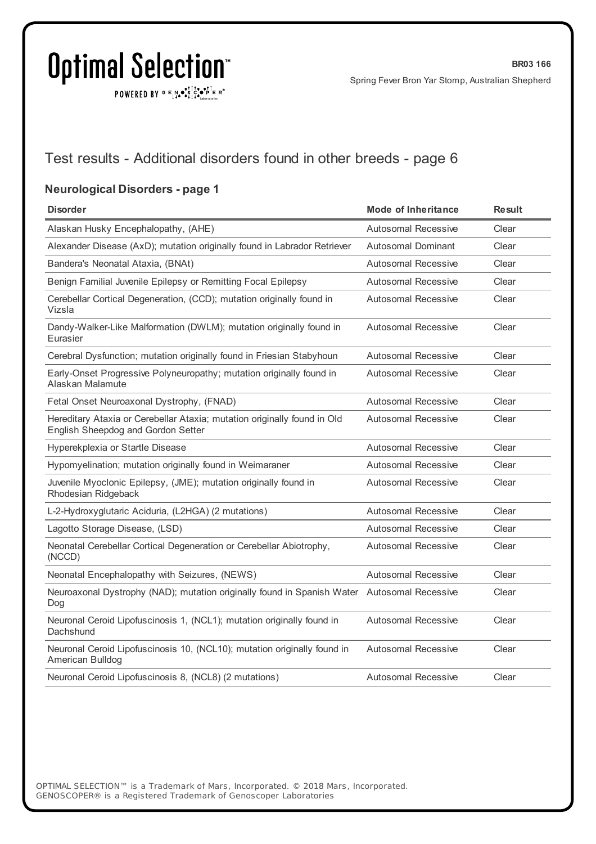$\texttt{POWERED BY} \texttt{G} \mathsf{E} \texttt{N} \bullet \texttt{S}^\texttt{T} \texttt{S}^\texttt{a} \bullet \texttt{P}^\texttt{T} \texttt{E} \texttt{R}^\texttt{B}$ 

### Test results - Additional disorders found in other breeds - page 6

#### **Neurological Disorders - page 1**

| <b>Disorder</b>                                                                                                | <b>Mode of Inheritance</b> | <b>Result</b> |
|----------------------------------------------------------------------------------------------------------------|----------------------------|---------------|
| Alaskan Husky Encephalopathy, (AHE)                                                                            | Autosomal Recessive        | Clear         |
| Alexander Disease (AxD); mutation originally found in Labrador Retriever                                       | <b>Autosomal Dominant</b>  | Clear         |
| Bandera's Neonatal Ataxia, (BNAt)                                                                              | <b>Autosomal Recessive</b> | Clear         |
| Benign Familial Juvenile Epilepsy or Remitting Focal Epilepsy                                                  | <b>Autosomal Recessive</b> | Clear         |
| Cerebellar Cortical Degeneration, (CCD); mutation originally found in<br>Vizsla                                | <b>Autosomal Recessive</b> | Clear         |
| Dandy-Walker-Like Malformation (DWLM); mutation originally found in<br>Eurasier                                | <b>Autosomal Recessive</b> | Clear         |
| Cerebral Dysfunction; mutation originally found in Friesian Stabyhoun                                          | <b>Autosomal Recessive</b> | Clear         |
| Early-Onset Progressive Polyneuropathy; mutation originally found in<br>Alaskan Malamute                       | <b>Autosomal Recessive</b> | Clear         |
| Fetal Onset Neuroaxonal Dystrophy, (FNAD)                                                                      | Autosomal Recessive        | Clear         |
| Hereditary Ataxia or Cerebellar Ataxia; mutation originally found in Old<br>English Sheepdog and Gordon Setter | <b>Autosomal Recessive</b> | Clear         |
| Hyperekplexia or Startle Disease                                                                               | Autosomal Recessive        | Clear         |
| Hypomyelination; mutation originally found in Weimaraner                                                       | Autosomal Recessive        | Clear         |
| Juvenile Myoclonic Epilepsy, (JME); mutation originally found in<br>Rhodesian Ridgeback                        | <b>Autosomal Recessive</b> | Clear         |
| L-2-Hydroxyglutaric Aciduria, (L2HGA) (2 mutations)                                                            | <b>Autosomal Recessive</b> | Clear         |
| Lagotto Storage Disease, (LSD)                                                                                 | <b>Autosomal Recessive</b> | Clear         |
| Neonatal Cerebellar Cortical Degeneration or Cerebellar Abiotrophy,<br>(NCCD)                                  | <b>Autosomal Recessive</b> | Clear         |
| Neonatal Encephalopathy with Seizures, (NEWS)                                                                  | <b>Autosomal Recessive</b> | Clear         |
| Neuroaxonal Dystrophy (NAD); mutation originally found in Spanish Water Autosomal Recessive<br>Dog             |                            | Clear         |
| Neuronal Ceroid Lipofuscinosis 1, (NCL1); mutation originally found in<br>Dachshund                            | Autosomal Recessive        | Clear         |
| Neuronal Ceroid Lipofuscinosis 10, (NCL10); mutation originally found in<br>American Bulldog                   | <b>Autosomal Recessive</b> | Clear         |
| Neuronal Ceroid Lipofuscinosis 8, (NCL8) (2 mutations)                                                         | <b>Autosomal Recessive</b> | Clear         |
|                                                                                                                |                            |               |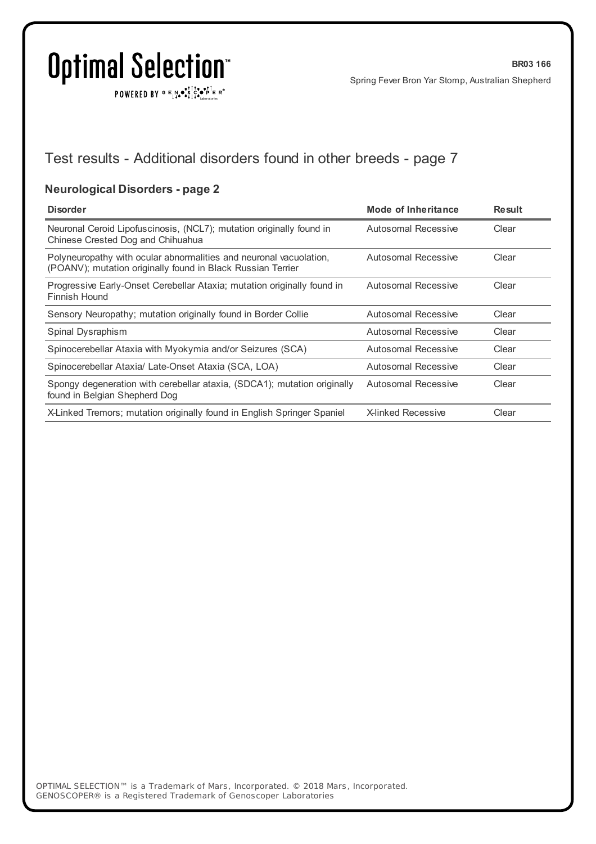$\texttt{POWERED BY} \xrightarrow{\mathbf{c}} \mathbb{I} \underset{\mathbf{a}}{\overset{\mathbf{r}}{\mathbf{a}}} \overset{\mathbf{r}}{\overset{\mathbf{r}}{\mathbf{s}}} \underset{\mathbf{a}}{\overset{\mathbf{r}}{\mathbf{a}}} \overset{\mathbf{r}}{\overset{\mathbf{r}}{\mathbf{s}}} \overset{\mathbf{r}}{\overset{\mathbf{r}}{\mathbf{s}}} \overset{\mathbf{r}}{\overset{\mathbf{r}}{\mathbf{s}}} \overset{\mathbf{r}}{\overset{\mathbf{r}}{\mathbf{s}}} \overset{\mathbf{r}}{\overset{\mathbf{r}}{\mathbf{s}}} \overset{\mathbf{r}}$ 

### Test results - Additional disorders found in other breeds - page 7

### **Neurological Disorders - page 2**

| <b>Disorder</b>                                                                                                                   | Mode of Inheritance       | <b>Result</b> |
|-----------------------------------------------------------------------------------------------------------------------------------|---------------------------|---------------|
| Neuronal Ceroid Lipofuscinosis, (NCL7); mutation originally found in<br>Chinese Crested Dog and Chihuahua                         | Autosomal Recessive       | Clear         |
| Polyneuropathy with ocular abnormalities and neuronal vacuolation,<br>(POANV); mutation originally found in Black Russian Terrier | Autosomal Recessive       | Clear         |
| Progressive Early-Onset Cerebellar Ataxia; mutation originally found in<br>Finnish Hound                                          | Autosomal Recessive       | Clear         |
| Sensory Neuropathy; mutation originally found in Border Collie                                                                    | Autosomal Recessive       | Clear         |
| Spinal Dysraphism                                                                                                                 | Autosomal Recessive       | Clear         |
| Spinocerebellar Ataxia with Myokymia and/or Seizures (SCA)                                                                        | Autosomal Recessive       | Clear         |
| Spinocerebellar Ataxia/ Late-Onset Ataxia (SCA, LOA)                                                                              | Autosomal Recessive       | Clear         |
| Spongy degeneration with cerebellar ataxia, (SDCA1); mutation originally<br>found in Belgian Shepherd Dog                         | Autosomal Recessive       | Clear         |
| X-Linked Tremors; mutation originally found in English Springer Spaniel                                                           | <b>X-linked Recessive</b> | Clear         |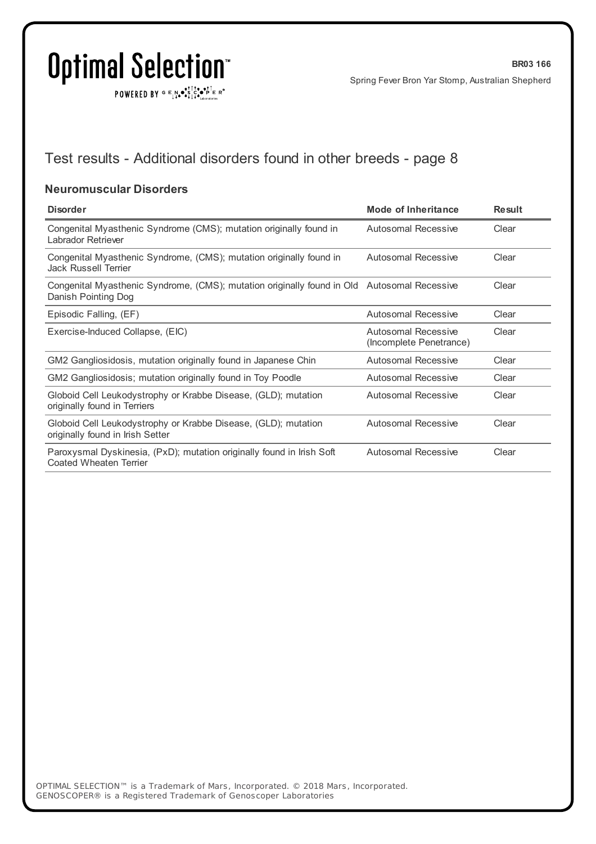$\texttt{POWERED BY} \xrightarrow{\mathbf{c}} \mathbb{I} \underset{\mathbf{a}}{\overset{\mathbf{r}}{\mathbf{a}}} \overset{\mathbf{r}}{\overset{\mathbf{r}}{\mathbf{s}}} \underset{\mathbf{a}}{\overset{\mathbf{r}}{\mathbf{a}}} \overset{\mathbf{r}}{\overset{\mathbf{r}}{\mathbf{s}}} \overset{\mathbf{r}}{\overset{\mathbf{r}}{\mathbf{s}}} \overset{\mathbf{r}}{\overset{\mathbf{r}}{\mathbf{s}}} \overset{\mathbf{r}}{\overset{\mathbf{r}}{\mathbf{s}}} \overset{\mathbf{r}}{\overset{\mathbf{r}}{\mathbf{s}}} \overset{\mathbf{r}}$ 

## Test results - Additional disorders found in other breeds - page 8

#### **Neuromuscular Disorders**

| <b>Disorder</b>                                                                                                    | Mode of Inheritance                            | <b>Result</b> |
|--------------------------------------------------------------------------------------------------------------------|------------------------------------------------|---------------|
| Congenital Myasthenic Syndrome (CMS); mutation originally found in<br>Labrador Retriever                           | <b>Autosomal Recessive</b>                     | Clear         |
| Congenital Myasthenic Syndrome, (CMS); mutation originally found in<br><b>Jack Russell Terrier</b>                 | Autosomal Recessive                            | Clear         |
| Congenital Myasthenic Syndrome, (CMS); mutation originally found in Old Autosomal Recessive<br>Danish Pointing Dog |                                                | Clear         |
| Episodic Falling, (EF)                                                                                             | Autosomal Recessive                            | Clear         |
| Exercise-Induced Collapse, (EIC)                                                                                   | Autosomal Recessive<br>(Incomplete Penetrance) | Clear         |
| GM2 Gangliosidosis, mutation originally found in Japanese Chin                                                     | Autosomal Recessive                            | Clear         |
| GM2 Gangliosidosis; mutation originally found in Toy Poodle                                                        | <b>Autosomal Recessive</b>                     | Clear         |
| Globoid Cell Leukodystrophy or Krabbe Disease, (GLD); mutation<br>originally found in Terriers                     | <b>Autosomal Recessive</b>                     | Clear         |
| Globoid Cell Leukodystrophy or Krabbe Disease, (GLD); mutation<br>originally found in Irish Setter                 | Autosomal Recessive                            | Clear         |
| Paroxysmal Dyskinesia, (PxD); mutation originally found in Irish Soft<br>Coated Wheaten Terrier                    | <b>Autosomal Recessive</b>                     | Clear         |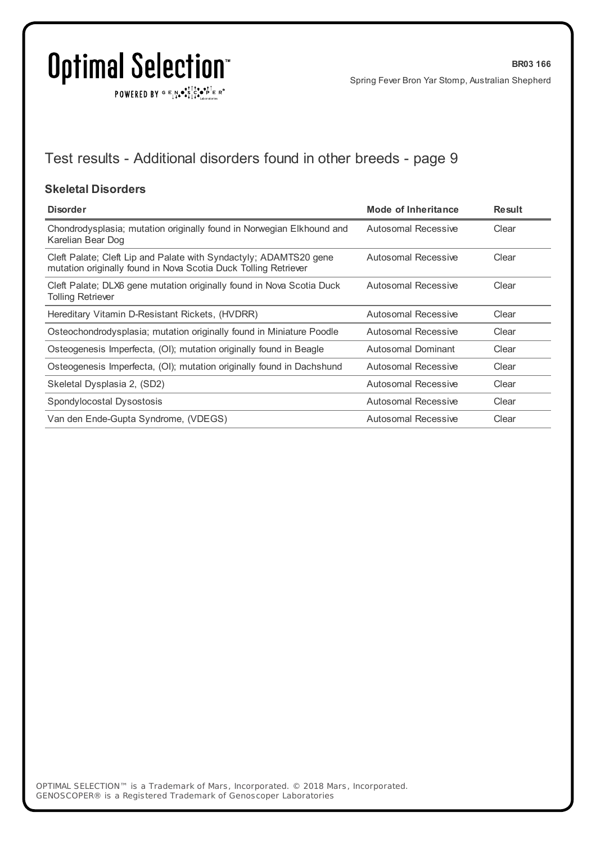$\texttt{POWERED BY} \xrightarrow{\mathbf{c}} \mathbb{I} \underset{\mathbf{a}}{\overset{\mathbf{r}}{\mathbf{a}}} \overset{\mathbf{r}}{\overset{\mathbf{r}}{\mathbf{s}}} \underset{\mathbf{a}}{\overset{\mathbf{r}}{\mathbf{a}}} \overset{\mathbf{r}}{\overset{\mathbf{r}}{\mathbf{s}}} \overset{\mathbf{r}}{\overset{\mathbf{r}}{\mathbf{s}}} \overset{\mathbf{r}}{\overset{\mathbf{r}}{\mathbf{s}}} \overset{\mathbf{r}}{\overset{\mathbf{r}}{\mathbf{s}}} \overset{\mathbf{r}}{\overset{\mathbf{r}}{\mathbf{s}}} \overset{\mathbf{r}}$ 

## Test results - Additional disorders found in other breeds - page 9

#### **Skeletal Disorders**

| <b>Disorder</b>                                                                                                                      | <b>Mode of Inheritance</b> | <b>Result</b> |
|--------------------------------------------------------------------------------------------------------------------------------------|----------------------------|---------------|
| Chondrodysplasia; mutation originally found in Norwegian Elkhound and<br>Karelian Bear Dog                                           | Autosomal Recessive        | Clear         |
| Cleft Palate; Cleft Lip and Palate with Syndactyly; ADAMTS20 gene<br>mutation originally found in Nova Scotia Duck Tolling Retriever | Autosomal Recessive        | Clear         |
| Cleft Palate; DLX6 gene mutation originally found in Nova Scotia Duck<br><b>Tolling Retriever</b>                                    | Autosomal Recessive        | Clear         |
| Hereditary Vitamin D-Resistant Rickets, (HVDRR)                                                                                      | Autosomal Recessive        | Clear         |
| Osteochondrodysplasia; mutation originally found in Miniature Poodle                                                                 | Autosomal Recessive        | Clear         |
| Osteogenesis Imperfecta, (OI); mutation originally found in Beagle                                                                   | Autosomal Dominant         | Clear         |
| Osteogenesis Imperfecta, (OI); mutation originally found in Dachshund                                                                | Autosomal Recessive        | Clear         |
| Skeletal Dysplasia 2, (SD2)                                                                                                          | Autosomal Recessive        | Clear         |
| Spondylocostal Dysostosis                                                                                                            | Autosomal Recessive        | Clear         |
| Van den Ende-Gupta Syndrome, (VDEGS)                                                                                                 | Autosomal Recessive        | Clear         |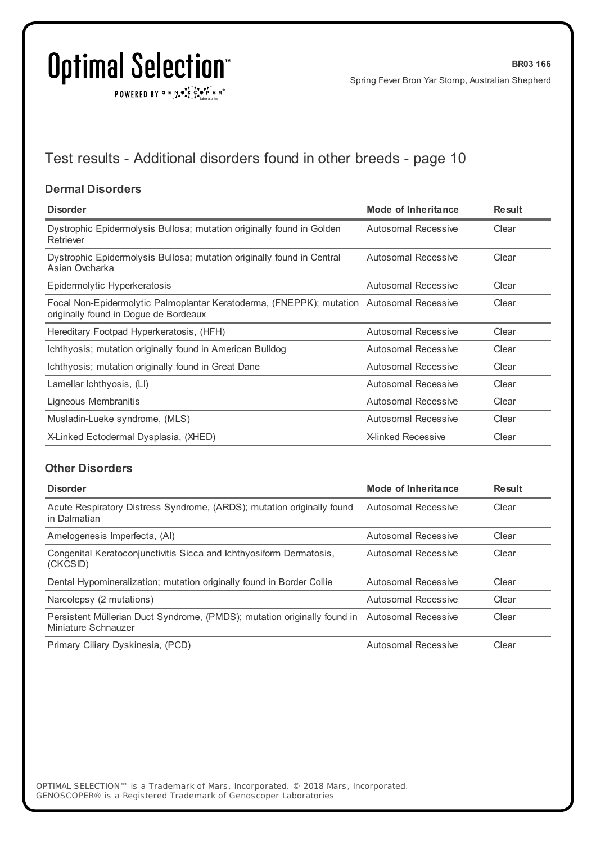POWERED BY  $G \in N \cdot S$   $C \cdot P$   $F \in R^{\circ}$ 

## Test results - Additional disorders found in other breeds - page 10

#### **Dermal Disorders**

| <b>Disorder</b>                                                                                                                   | Mode of Inheritance       | <b>Result</b> |
|-----------------------------------------------------------------------------------------------------------------------------------|---------------------------|---------------|
| Dystrophic Epidermolysis Bullosa; mutation originally found in Golden<br>Retriever                                                | Autosomal Recessive       | Clear         |
| Dystrophic Epidermolysis Bullosa; mutation originally found in Central<br>Asian Ovcharka                                          | Autosomal Recessive       | Clear         |
| Epidermolytic Hyperkeratosis                                                                                                      | Autosomal Recessive       | Clear         |
| Focal Non-Epidermolytic Palmoplantar Keratoderma, (FNEPPK); mutation Autosomal Recessive<br>originally found in Dogue de Bordeaux |                           | Clear         |
| Hereditary Footpad Hyperkeratosis, (HFH)                                                                                          | Autosomal Recessive       | Clear         |
| Ichthyosis; mutation originally found in American Bulldog                                                                         | Autosomal Recessive       | Clear         |
| Ichthyosis; mutation originally found in Great Dane                                                                               | Autosomal Recessive       | Clear         |
| Lamellar Ichthyosis, (LI)                                                                                                         | Autosomal Recessive       | Clear         |
| Ligneous Membranitis                                                                                                              | Autosomal Recessive       | Clear         |
| Musladin-Lueke syndrome, (MLS)                                                                                                    | Autosomal Recessive       | Clear         |
| X-Linked Ectodermal Dysplasia, (XHED)                                                                                             | <b>X-linked Recessive</b> | Clear         |

#### **Other Disorders**

| <b>Disorder</b>                                                                                                     | Mode of Inheritance        | <b>Result</b> |
|---------------------------------------------------------------------------------------------------------------------|----------------------------|---------------|
| Acute Respiratory Distress Syndrome, (ARDS); mutation originally found<br>in Dalmatian                              | Autosomal Recessive        | Clear         |
| Amelogenesis Imperfecta, (AI)                                                                                       | Autosomal Recessive        | Clear         |
| Congenital Keratoconjunctivitis Sicca and Ichthyosiform Dermatosis,<br>(CKCSID)                                     | Autosomal Recessive        | Clear         |
| Dental Hypomineralization; mutation originally found in Border Collie                                               | <b>Autosomal Recessive</b> | Clear         |
| Narcolepsy (2 mutations)                                                                                            | Autosomal Recessive        | Clear         |
| Persistent Müllerian Duct Syndrome, (PMDS); mutation originally found in Autosomal Recessive<br>Miniature Schnauzer |                            | Clear         |
| Primary Ciliary Dyskinesia, (PCD)                                                                                   | Autosomal Recessive        | Clear         |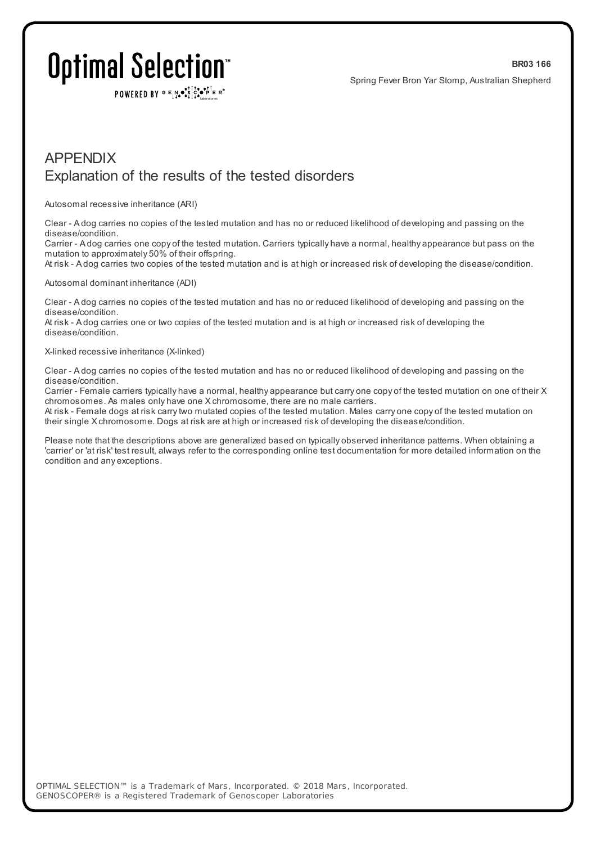POWERED BY  $G \in N$ .  $\mathbb{R}$ ,  $\mathbb{R}$ ,  $\mathbb{R}$ ,  $\mathbb{R}$   $\mathbb{R}$  is  $\mathbb{R}$ 

### APPENDIX Explanation of the results of the tested disorders

Autosomal recessive inheritance (ARI)

Clear - A dog carries no copies of the tested mutation and has no or reduced likelihood of developing and passing on the disease/condition.

Carrier - A dog carries one copy of the tested mutation. Carriers typically have a normal, healthy appearance but pass on the mutation to approximately 50% of their offspring.

At risk - A dog carries two copies of the tested mutation and is at high or increased risk of developing the disease/condition.

#### Autosomal dominant inheritance (ADI)

Clear - A dog carries no copies of the tested mutation and has no or reduced likelihood of developing and passing on the disease/condition.

At risk - A dog carries one or two copies of the tested mutation and is at high or increased risk of developing the disease/condition.

#### X-linked recessive inheritance (X-linked)

Clear - A dog carries no copies of the tested mutation and has no or reduced likelihood of developing and passing on the disease/condition.

Carrier - Female carriers typically have a normal, healthy appearance but carry one copy of the tested mutation on one of their X chromosomes. As males only have one X chromosome, there are no male carriers.

At risk - Female dogs at risk carrytwo mutated copies of the tested mutation. Males carry one copy of the tested mutation on their single X chromosome. Dogs at risk are at high or increased risk of developing the disease/condition.

Please note that the descriptions above are generalized based on typically observed inheritance patterns. When obtaining a 'carrier' or 'at risk' test result, always refer to the corresponding online test documentation for more detailed information on the condition and any exceptions.